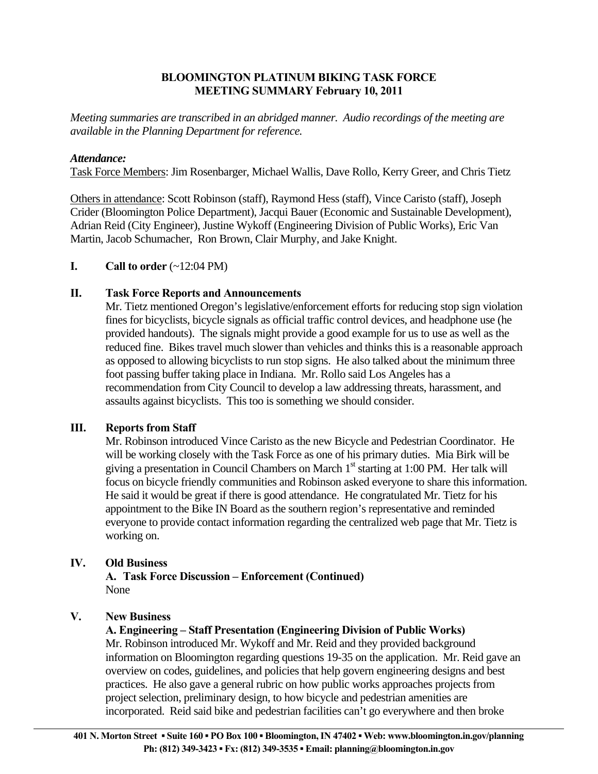# **BLOOMINGTON PLATINUM BIKING TASK FORCE MEETING SUMMARY February 10, 2011**

*Meeting summaries are transcribed in an abridged manner. Audio recordings of the meeting are available in the Planning Department for reference.* 

# *Attendance:*

Task Force Members: Jim Rosenbarger, Michael Wallis, Dave Rollo, Kerry Greer, and Chris Tietz

Others in attendance: Scott Robinson (staff), Raymond Hess (staff), Vince Caristo (staff), Joseph Crider (Bloomington Police Department), Jacqui Bauer (Economic and Sustainable Development), Adrian Reid (City Engineer), Justine Wykoff (Engineering Division of Public Works), Eric Van Martin, Jacob Schumacher, Ron Brown, Clair Murphy, and Jake Knight.

# **I.** Call to order  $(\sim 12:04 \text{ PM})$

# **II. Task Force Reports and Announcements**

 Mr. Tietz mentioned Oregon's legislative/enforcement efforts for reducing stop sign violation fines for bicyclists, bicycle signals as official traffic control devices, and headphone use (he provided handouts). The signals might provide a good example for us to use as well as the reduced fine. Bikes travel much slower than vehicles and thinks this is a reasonable approach as opposed to allowing bicyclists to run stop signs. He also talked about the minimum three foot passing buffer taking place in Indiana. Mr. Rollo said Los Angeles has a recommendation from City Council to develop a law addressing threats, harassment, and assaults against bicyclists. This too is something we should consider.

# **III. Reports from Staff**

Mr. Robinson introduced Vince Caristo as the new Bicycle and Pedestrian Coordinator. He will be working closely with the Task Force as one of his primary duties. Mia Birk will be giving a presentation in Council Chambers on March  $1<sup>st</sup>$  starting at 1:00 PM. Her talk will focus on bicycle friendly communities and Robinson asked everyone to share this information. He said it would be great if there is good attendance. He congratulated Mr. Tietz for his appointment to the Bike IN Board as the southern region's representative and reminded everyone to provide contact information regarding the centralized web page that Mr. Tietz is working on.

#### **IV. Old Business**

**A. Task Force Discussion – Enforcement (Continued)**  None

# **V. New Business**

#### **A. Engineering – Staff Presentation (Engineering Division of Public Works)**

Mr. Robinson introduced Mr. Wykoff and Mr. Reid and they provided background information on Bloomington regarding questions 19-35 on the application. Mr. Reid gave an overview on codes, guidelines, and policies that help govern engineering designs and best practices. He also gave a general rubric on how public works approaches projects from project selection, preliminary design, to how bicycle and pedestrian amenities are incorporated. Reid said bike and pedestrian facilities can't go everywhere and then broke